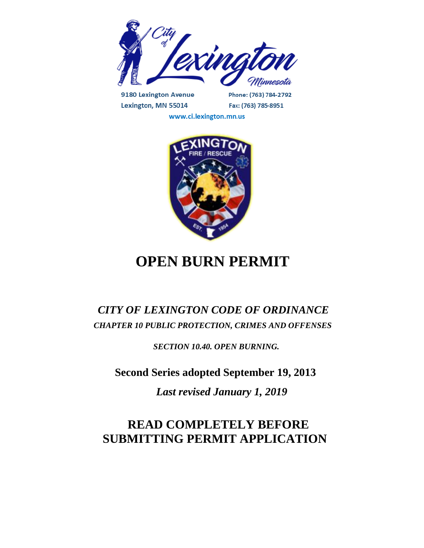

9180 Lexington Avenue Lexington, MN 55014

Phone: (763) 784-2792 Fax: (763) 785-8951

www.ci.lexington.mn.us



# **OPEN BURN PERMIT**

### *CITY OF LEXINGTON CODE OF ORDINANCE CHAPTER 10 PUBLIC PROTECTION, CRIMES AND OFFENSES*

 *SECTION 10.40. OPEN BURNING.* 

**Second Series adopted September 19, 2013**

 *Last revised January 1, 2019*

## **READ COMPLETELY BEFORE SUBMITTING PERMIT APPLICATION**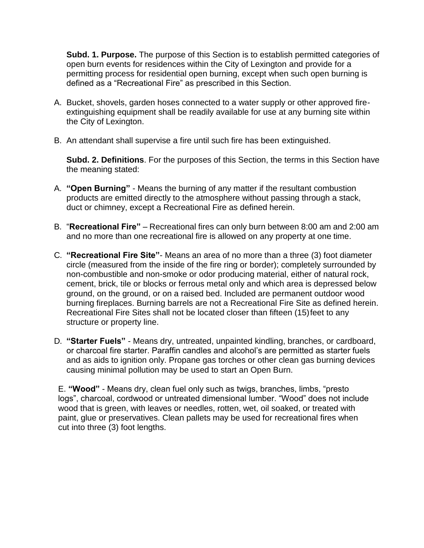**Subd. 1. Purpose.** The purpose of this Section is to establish permitted categories of open burn events for residences within the City of Lexington and provide for a permitting process for residential open burning, except when such open burning is defined as a "Recreational Fire" as prescribed in this Section.

- A. Bucket, shovels, garden hoses connected to a water supply or other approved fireextinguishing equipment shall be readily available for use at any burning site within the City of Lexington.
- B. An attendant shall supervise a fire until such fire has been extinguished.

**Subd. 2. Definitions**. For the purposes of this Section, the terms in this Section have the meaning stated:

- A. **"Open Burning"**  Means the burning of any matter if the resultant combustion products are emitted directly to the atmosphere without passing through a stack, duct or chimney, except a Recreational Fire as defined herein.
- B. "**Recreational Fire"**  Recreational fires can only burn between 8:00 am and 2:00 am and no more than one recreational fire is allowed on any property at one time.
- C. **"Recreational Fire Site"** Means an area of no more than a three (3) foot diameter circle (measured from the inside of the fire ring or border); completely surrounded by non-combustible and non-smoke or odor producing material, either of natural rock, cement, brick, tile or blocks or ferrous metal only and which area is depressed below ground, on the ground, or on a raised bed. Included are permanent outdoor wood burning fireplaces. Burning barrels are not a Recreational Fire Site as defined herein. Recreational Fire Sites shall not be located closer than fifteen (15)feet to any structure or property line.
- D. **"Starter Fuels"**  Means dry, untreated, unpainted kindling, branches, or cardboard, or charcoal fire starter. Paraffin candles and alcohol's are permitted as starter fuels and as aids to ignition only. Propane gas torches or other clean gas burning devices causing minimal pollution may be used to start an Open Burn.

E. **"Wood"** - Means dry, clean fuel only such as twigs, branches, limbs, "presto logs", charcoal, cordwood or untreated dimensional lumber. "Wood" does not include wood that is green, with leaves or needles, rotten, wet, oil soaked, or treated with paint, glue or preservatives. Clean pallets may be used for recreational fires when cut into three (3) foot lengths.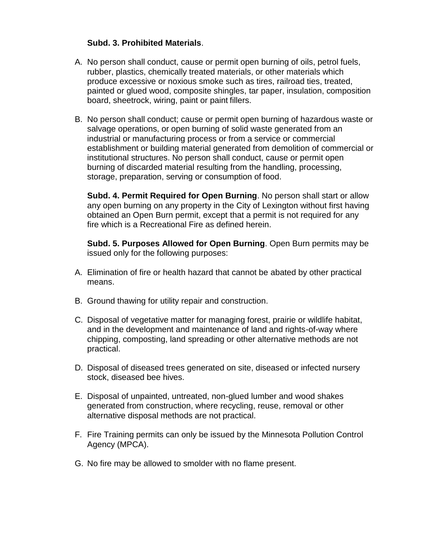#### **Subd. 3. Prohibited Materials**.

- A. No person shall conduct, cause or permit open burning of oils, petrol fuels, rubber, plastics, chemically treated materials, or other materials which produce excessive or noxious smoke such as tires, railroad ties, treated, painted or glued wood, composite shingles, tar paper, insulation, composition board, sheetrock, wiring, paint or paint fillers.
- B. No person shall conduct; cause or permit open burning of hazardous waste or salvage operations, or open burning of solid waste generated from an industrial or manufacturing process or from a service or commercial establishment or building material generated from demolition of commercial or institutional structures. No person shall conduct, cause or permit open burning of discarded material resulting from the handling, processing, storage, preparation, serving or consumption of food.

**Subd. 4. Permit Required for Open Burning**. No person shall start or allow any open burning on any property in the City of Lexington without first having obtained an Open Burn permit, except that a permit is not required for any fire which is a Recreational Fire as defined herein.

**Subd. 5. Purposes Allowed for Open Burning**. Open Burn permits may be issued only for the following purposes:

- A. Elimination of fire or health hazard that cannot be abated by other practical means.
- B. Ground thawing for utility repair and construction.
- C. Disposal of vegetative matter for managing forest, prairie or wildlife habitat, and in the development and maintenance of land and rights-of-way where chipping, composting, land spreading or other alternative methods are not practical.
- D. Disposal of diseased trees generated on site, diseased or infected nursery stock, diseased bee hives.
- E. Disposal of unpainted, untreated, non-glued lumber and wood shakes generated from construction, where recycling, reuse, removal or other alternative disposal methods are not practical.
- F. Fire Training permits can only be issued by the Minnesota Pollution Control Agency (MPCA).
- G. No fire may be allowed to smolder with no flame present.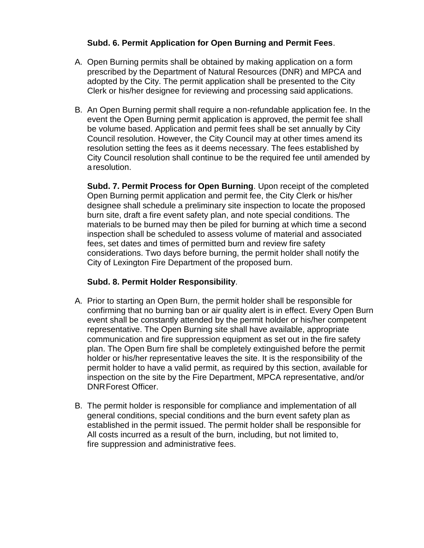#### **Subd. 6. Permit Application for Open Burning and Permit Fees**.

- A. Open Burning permits shall be obtained by making application on a form prescribed by the Department of Natural Resources (DNR) and MPCA and adopted by the City. The permit application shall be presented to the City Clerk or his/her designee for reviewing and processing said applications.
- B. An Open Burning permit shall require a non-refundable application fee. In the event the Open Burning permit application is approved, the permit fee shall be volume based. Application and permit fees shall be set annually by City Council resolution. However, the City Council may at other times amend its resolution setting the fees as it deems necessary. The fees established by City Council resolution shall continue to be the required fee until amended by a resolution.

**Subd. 7. Permit Process for Open Burning**. Upon receipt of the completed Open Burning permit application and permit fee, the City Clerk or his/her designee shall schedule a preliminary site inspection to locate the proposed burn site, draft a fire event safety plan, and note special conditions. The materials to be burned may then be piled for burning at which time a second inspection shall be scheduled to assess volume of material and associated fees, set dates and times of permitted burn and review fire safety considerations. Two days before burning, the permit holder shall notify the City of Lexington Fire Department of the proposed burn.

#### **Subd. 8. Permit Holder Responsibility**.

- A. Prior to starting an Open Burn, the permit holder shall be responsible for confirming that no burning ban or air quality alert is in effect. Every Open Burn event shall be constantly attended by the permit holder or his/her competent representative. The Open Burning site shall have available, appropriate communication and fire suppression equipment as set out in the fire safety plan. The Open Burn fire shall be completely extinguished before the permit holder or his/her representative leaves the site. It is the responsibility of the permit holder to have a valid permit, as required by this section, available for inspection on the site by the Fire Department, MPCA representative, and/or DNRForest Officer.
- B. The permit holder is responsible for compliance and implementation of all general conditions, special conditions and the burn event safety plan as established in the permit issued. The permit holder shall be responsible for All costs incurred as a result of the burn, including, but not limited to, fire suppression and administrative fees.